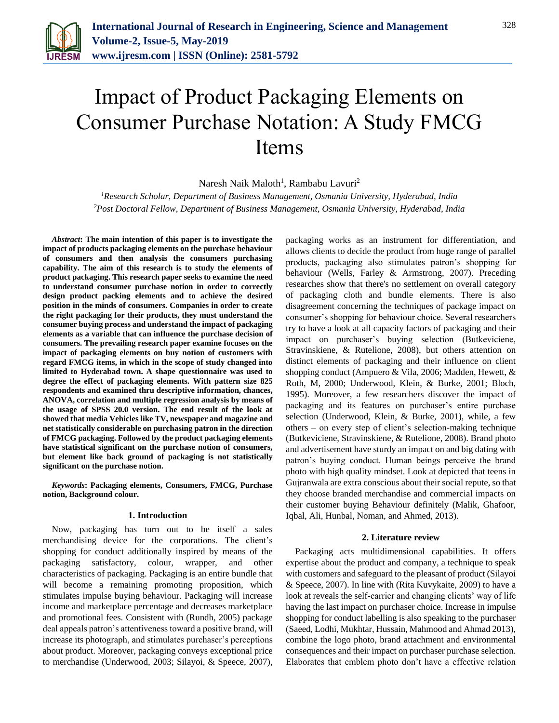

# Impact of Product Packaging Elements on Consumer Purchase Notation: A Study FMCG Items

Naresh Naik Maloth<sup>1</sup>, Rambabu Lavuri<sup>2</sup>

*<sup>1</sup>Research Scholar, Department of Business Management, Osmania University, Hyderabad, India 2Post Doctoral Fellow, Department of Business Management, Osmania University, Hyderabad, India*

*Abstract***: The main intention of this paper is to investigate the impact of products packaging elements on the purchase behaviour of consumers and then analysis the consumers purchasing capability. The aim of this research is to study the elements of product packaging. This research paper seeks to examine the need to understand consumer purchase notion in order to correctly design product packing elements and to achieve the desired position in the minds of consumers. Companies in order to create the right packaging for their products, they must understand the consumer buying process and understand the impact of packaging elements as a variable that can influence the purchase decision of consumers. The prevailing research paper examine focuses on the impact of packaging elements on buy notion of customers with regard FMCG items, in which in the scope of study changed into limited to Hyderabad town. A shape questionnaire was used to degree the effect of packaging elements. With pattern size 825 respondents and examined thru descriptive information, chances, ANOVA, correlation and multiple regression analysis by means of the usage of SPSS 20.0 version. The end result of the look at showed that media Vehicles like TV, newspaper and magazine and net statistically considerable on purchasing patron in the direction of FMCG packaging. Followed by the product packaging elements have statistical significant on the purchase notion of consumers, but element like back ground of packaging is not statistically significant on the purchase notion.**

*Keywords***: Packaging elements, Consumers, FMCG, Purchase notion, Background colour.**

#### **1. Introduction**

Now, packaging has turn out to be itself a sales merchandising device for the corporations. The client's shopping for conduct additionally inspired by means of the packaging satisfactory, colour, wrapper, and other characteristics of packaging. Packaging is an entire bundle that will become a remaining promoting proposition, which stimulates impulse buying behaviour. Packaging will increase income and marketplace percentage and decreases marketplace and promotional fees. Consistent with (Rundh, 2005) package deal appeals patron's attentiveness toward a positive brand, will increase its photograph, and stimulates purchaser's perceptions about product. Moreover, packaging conveys exceptional price to merchandise (Underwood, 2003; Silayoi, & Speece, 2007),

packaging works as an instrument for differentiation, and allows clients to decide the product from huge range of parallel products, packaging also stimulates patron's shopping for behaviour (Wells, Farley & Armstrong, 2007). Preceding researches show that there's no settlement on overall category of packaging cloth and bundle elements. There is also disagreement concerning the techniques of package impact on consumer's shopping for behaviour choice. Several researchers try to have a look at all capacity factors of packaging and their impact on purchaser's buying selection (Butkeviciene, Stravinskiene, & Rutelione, 2008), but others attention on distinct elements of packaging and their influence on client shopping conduct (Ampuero & Vila, 2006; Madden, Hewett, & Roth, M, 2000; Underwood, Klein, & Burke, 2001; Bloch, 1995). Moreover, a few researchers discover the impact of packaging and its features on purchaser's entire purchase selection (Underwood, Klein, & Burke, 2001), while, a few others – on every step of client's selection-making technique (Butkeviciene, Stravinskiene, & Rutelione, 2008). Brand photo and advertisement have sturdy an impact on and big dating with patron's buying conduct. Human beings perceive the brand photo with high quality mindset. Look at depicted that teens in Gujranwala are extra conscious about their social repute, so that they choose branded merchandise and commercial impacts on their customer buying Behaviour definitely (Malik, Ghafoor, Iqbal, Ali, Hunbal, Noman, and Ahmed, 2013).

#### **2. Literature review**

Packaging acts multidimensional capabilities. It offers expertise about the product and company, a technique to speak with customers and safeguard to the pleasant of product (Silayoi & Speece, 2007). In line with (Rita Kuvykaite, 2009) to have a look at reveals the self-carrier and changing clients' way of life having the last impact on purchaser choice. Increase in impulse shopping for conduct labelling is also speaking to the purchaser (Saeed, Lodhi, Mukhtar, Hussain, Mahmood and Ahmad 2013), combine the logo photo, brand attachment and environmental consequences and their impact on purchaser purchase selection. Elaborates that emblem photo don't have a effective relation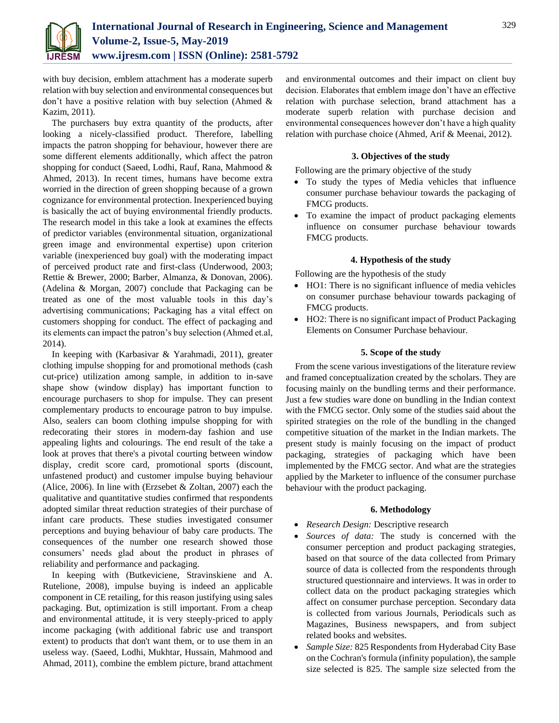

with buy decision, emblem attachment has a moderate superb relation with buy selection and environmental consequences but don't have a positive relation with buy selection (Ahmed & Kazim, 2011).

The purchasers buy extra quantity of the products, after looking a nicely-classified product. Therefore, labelling impacts the patron shopping for behaviour, however there are some different elements additionally, which affect the patron shopping for conduct (Saeed, Lodhi, Rauf, Rana, Mahmood & Ahmed, 2013). In recent times, humans have become extra worried in the direction of green shopping because of a grown cognizance for environmental protection. Inexperienced buying is basically the act of buying environmental friendly products. The research model in this take a look at examines the effects of predictor variables (environmental situation, organizational green image and environmental expertise) upon criterion variable (inexperienced buy goal) with the moderating impact of perceived product rate and first-class (Underwood, 2003; Rettie & Brewer, 2000; Barber, Almanza, & Donovan, 2006). (Adelina & Morgan, 2007) conclude that Packaging can be treated as one of the most valuable tools in this day's advertising communications; Packaging has a vital effect on customers shopping for conduct. The effect of packaging and its elements can impact the patron's buy selection (Ahmed et.al, 2014).

In keeping with (Karbasivar & Yarahmadi, 2011), greater clothing impulse shopping for and promotional methods (cash cut-price) utilization among sample, in addition to in-save shape show (window display) has important function to encourage purchasers to shop for impulse. They can present complementary products to encourage patron to buy impulse. Also, sealers can boom clothing impulse shopping for with redecorating their stores in modern-day fashion and use appealing lights and colourings. The end result of the take a look at proves that there's a pivotal courting between window display, credit score card, promotional sports (discount, unfastened product) and customer impulse buying behaviour (Alice, 2006). In line with (Erzsebet & Zoltan, 2007) each the qualitative and quantitative studies confirmed that respondents adopted similar threat reduction strategies of their purchase of infant care products. These studies investigated consumer perceptions and buying behaviour of baby care products. The consequences of the number one research showed those consumers' needs glad about the product in phrases of reliability and performance and packaging.

In keeping with (Butkeviciene, Stravinskiene and A. Rutelione, 2008), impulse buying is indeed an applicable component in CE retailing, for this reason justifying using sales packaging. But, optimization is still important. From a cheap and environmental attitude, it is very steeply-priced to apply income packaging (with additional fabric use and transport extent) to products that don't want them, or to use them in an useless way. (Saeed, Lodhi, Mukhtar, Hussain, Mahmood and Ahmad, 2011), combine the emblem picture, brand attachment and environmental outcomes and their impact on client buy decision. Elaborates that emblem image don't have an effective relation with purchase selection, brand attachment has a moderate superb relation with purchase decision and environmental consequences however don't have a high quality relation with purchase choice (Ahmed, Arif & Meenai, 2012).

# **3. Objectives of the study**

Following are the primary objective of the study

- To study the types of Media vehicles that influence consumer purchase behaviour towards the packaging of FMCG products.
- To examine the impact of product packaging elements influence on consumer purchase behaviour towards FMCG products.

# **4. Hypothesis of the study**

Following are the hypothesis of the study

- HO1: There is no significant influence of media vehicles on consumer purchase behaviour towards packaging of FMCG products.
- HO2: There is no significant impact of Product Packaging Elements on Consumer Purchase behaviour.

# **5. Scope of the study**

From the scene various investigations of the literature review and framed conceptualization created by the scholars. They are focusing mainly on the bundling terms and their performance. Just a few studies ware done on bundling in the Indian context with the FMCG sector. Only some of the studies said about the spirited strategies on the role of the bundling in the changed competitive situation of the market in the Indian markets. The present study is mainly focusing on the impact of product packaging, strategies of packaging which have been implemented by the FMCG sector. And what are the strategies applied by the Marketer to influence of the consumer purchase behaviour with the product packaging.

# **6. Methodology**

- *Research Design:* Descriptive research
- *Sources of data:* The study is concerned with the consumer perception and product packaging strategies, based on that source of the data collected from Primary source of data is collected from the respondents through structured questionnaire and interviews. It was in order to collect data on the product packaging strategies which affect on consumer purchase perception. Secondary data is collected from various Journals, Periodicals such as Magazines, Business newspapers, and from subject related books and websites.
- *Sample Size:* 825 Respondents from Hyderabad City Base on the Cochran's formula (infinity population), the sample size selected is 825. The sample size selected from the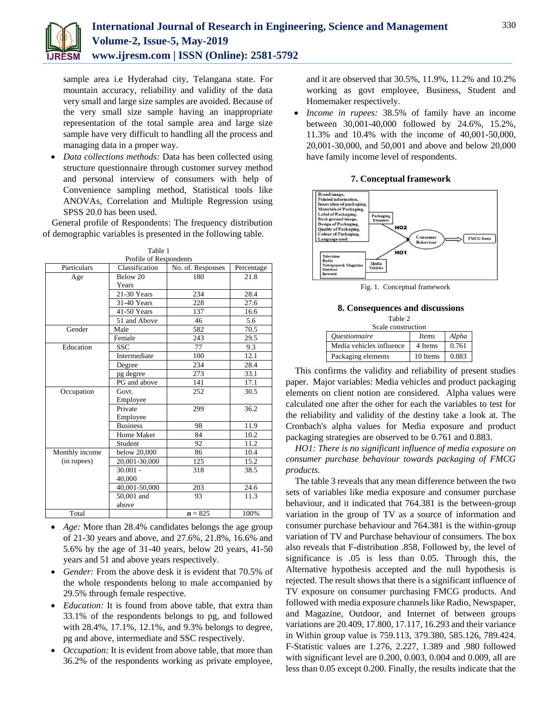

sample area i.e Hyderabad city, Telangana state. For mountain accuracy, reliability and validity of the data very small and large size samples are avoided. Because of the very small size sample having an inappropriate representation of the total sample area and large size sample have very difficult to handling all the process and managing data in a proper way.

 *Data collections methods:* Data has been collected using structure questionnaire through customer survey method and personal interview of consumers with help of Convenience sampling method, Statistical tools like ANOVAs, Correlation and Multiple Regression using SPSS 20.0 has been used.

General profile of Respondents: The frequency distribution of demographic variables is presented in the following table.

| Profile of Respondents |                 |                   |            |  |  |
|------------------------|-----------------|-------------------|------------|--|--|
| Particulars            | Classification  | No. of. Responses | Percentage |  |  |
| Age                    | Below 20        | 180               | 21.8       |  |  |
|                        | Years           |                   |            |  |  |
|                        | 21-30 Years     | 234               | 28.4       |  |  |
|                        | 31-40 Years     | 228               | 27.6       |  |  |
|                        | 41-50 Years     | 137               | 16.6       |  |  |
|                        | 51 and Above    | 46                | 5.6        |  |  |
| Gender                 | Male            | 582               | 70.5       |  |  |
|                        | Female          | 243               | 29.5       |  |  |
| Education              | <b>SSC</b>      | 77                | 9.3        |  |  |
|                        | Intermediate    | 100               | 12.1       |  |  |
|                        | Degree          | 234               | 28.4       |  |  |
|                        | pg degree       | 273               | 33.1       |  |  |
|                        | PG and above    | 141               | 17.1       |  |  |
| Occupation             | Govt.           | 252               | 30.5       |  |  |
|                        | Employee        |                   |            |  |  |
|                        | Private         | 299               | 36.2       |  |  |
|                        | Employee        |                   |            |  |  |
|                        | <b>Business</b> | 98                | 11.9       |  |  |
|                        | Home Maker      | 84                | 10.2       |  |  |
|                        | Student         | 92                | 11.2       |  |  |
| Monthly income         | below 20,000    | 86                | 10.4       |  |  |
| (in rupees)            | 20,001-30,000   | 125               | 15.2       |  |  |
|                        | $30.001 -$      | 318               | 38.5       |  |  |
|                        | 40,000          |                   |            |  |  |
|                        | 40,001-50,000   | 203               | 24.6       |  |  |
|                        | 50,001 and      | 93                | 11.3       |  |  |
|                        | above           |                   |            |  |  |
| Total                  |                 | $n = 825$         | 100%       |  |  |

Table 1

- *Age:* More than 28.4% candidates belongs the age group of 21-30 years and above, and 27.6%, 21.8%, 16.6% and 5.6% by the age of 31-40 years, below 20 years, 41-50 years and 51 and above years respectively.
- *Gender:* From the above desk it is evident that 70.5% of the whole respondents belong to male accompanied by 29.5% through female respective.
- *Education:* It is found from above table, that extra than 33.1% of the respondents belongs to pg, and followed with 28.4%, 17.1%, 12.1%, and 9.3% belongs to degree, pg and above, intermediate and SSC respectively.
- *Occupation:* It is evident from above table, that more than 36.2% of the respondents working as private employee,

and it are observed that 30.5%, 11.9%, 11.2% and 10.2% working as govt employee, Business, Student and Homemaker respectively.

 *Income in rupees:* 38.5% of family have an income between 30,001-40,000 followed by 24.6%, 15.2%, 11.3% and 10.4% with the income of 40,001-50,000, 20,001-30,000, and 50,001 and above and below 20,000 have family income level of respondents.



**<sup>7.</sup> Conceptual framework**

Fig. 1. Conceptual framework

# **8. Consequences and discussions**

| Table 2                            |              |       |  |  |  |  |
|------------------------------------|--------------|-------|--|--|--|--|
| Scale construction                 |              |       |  |  |  |  |
| <i><u><b>Ouestionnaire</b></u></i> | <i>Items</i> | Alpha |  |  |  |  |
| Media vehicles influence           | 4 Items      | 0.761 |  |  |  |  |
| Packaging elements                 | 10 Items     | 0.883 |  |  |  |  |

This confirms the validity and reliability of present studies paper. Major variables: Media vehicles and product packaging elements on client notion are considered. Alpha values were calculated one after the other for each the variables to test for the reliability and validity of the destiny take a look at. The Cronbach's alpha values for Media exposure and product packaging strategies are observed to be 0.761 and 0.883.

*HO1: There is no significant influence of media exposure on consumer purchase behaviour towards packaging of FMCG products.*

The table 3 reveals that any mean difference between the two sets of variables like media exposure and consumer purchase behaviour, and it indicated that 764.381 is the between-group variation in the group of TV as a source of information and consumer purchase behaviour and 764.381 is the within-group variation of TV and Purchase behaviour of consumers. The box also reveals that F-distribution .858, Followed by, the level of significance is .05 is less than 0.05. Through this, the Alternative hypothesis accepted and the null hypothesis is rejected. The result shows that there is a significant influence of TV exposure on consumer purchasing FMCG products. And followed with media exposure channels like Radio, Newspaper, and Magazine, Outdoor, and Internet of between groups variations are 20.409, 17.800, 17.117, 16.293 and their variance in Within group value is 759.113, 379.380, 585.126, 789.424. F-Statistic values are 1.276, 2.227, 1.389 and .980 followed with significant level are 0.200, 0.003, 0.004 and 0.009, all are less than 0.05 except 0.200. Finally, the results indicate that the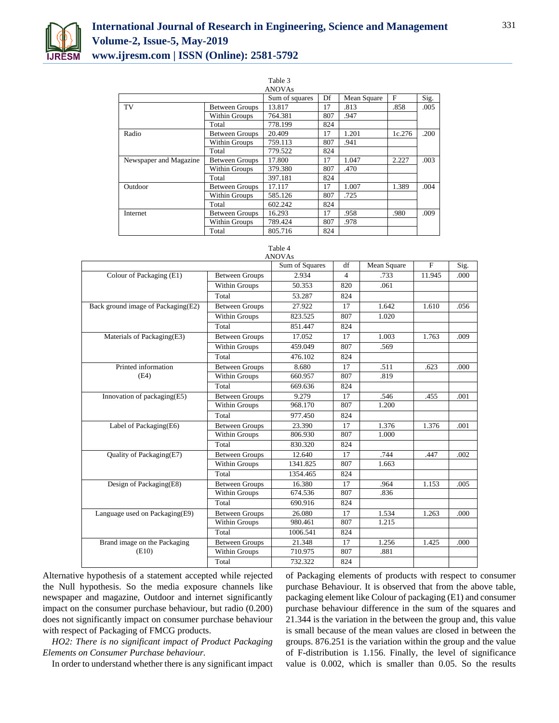

|                        |                       | Table 3        |     |             |              |      |
|------------------------|-----------------------|----------------|-----|-------------|--------------|------|
|                        |                       | <b>ANOVAs</b>  |     |             |              |      |
|                        |                       | Sum of squares | Df  | Mean Square | $\mathbf{F}$ | Sig. |
| TV                     | <b>Between Groups</b> | 13.817         | 17  | .813        | .858         | .005 |
|                        | Within Groups         | 764.381        | 807 | .947        |              |      |
|                        | Total                 | 778.199        | 824 |             |              |      |
| Radio                  | <b>Between Groups</b> | 20.409         | 17  | 1.201       | 1c.276       | .200 |
|                        | Within Groups         | 759.113        | 807 | .941        |              |      |
|                        | Total                 | 779.522        | 824 |             |              |      |
| Newspaper and Magazine | <b>Between Groups</b> | 17.800         | 17  | 1.047       | 2.227        | .003 |
|                        | Within Groups         | 379.380        | 807 | .470        |              |      |
|                        | Total                 | 397.181        | 824 |             |              |      |
| Outdoor                | <b>Between Groups</b> | 17.117         | 17  | 1.007       | 1.389        | .004 |
|                        | Within Groups         | 585.126        | 807 | .725        |              |      |
|                        | Total                 | 602.242        | 824 |             |              |      |
| Internet               | <b>Between Groups</b> | 16.293         | 17  | .958        | .980         | .009 |
|                        | Within Groups         | 789.424        | 807 | .978        |              |      |
|                        | Total                 | 805.716        | 824 |             |              |      |

#### Table 4 ANOVAs

|                                    |                       | Sum of Squares | df             | Mean Square | F      | Sig. |
|------------------------------------|-----------------------|----------------|----------------|-------------|--------|------|
| Colour of Packaging (E1)           | <b>Between Groups</b> | 2.934          | $\overline{4}$ | .733        | 11.945 | .000 |
|                                    | Within Groups         | 50.353         | 820            | .061        |        |      |
|                                    | Total                 | 53.287         | 824            |             |        |      |
| Back ground image of Packaging(E2) | <b>Between Groups</b> | 27.922         | 17             | 1.642       | 1.610  | .056 |
|                                    | Within Groups         | 823.525        | 807            | 1.020       |        |      |
|                                    | Total                 | 851.447        | 824            |             |        |      |
| Materials of Packaging(E3)         | <b>Between Groups</b> | 17.052         | 17             | 1.003       | 1.763  | .009 |
|                                    | Within Groups         | 459.049        | 807            | .569        |        |      |
|                                    | Total                 | 476.102        | 824            |             |        |      |
| Printed information                | <b>Between Groups</b> | 8.680          | 17             | .511        | .623   | .000 |
| (E4)                               | Within Groups         | 660.957        | 807            | .819        |        |      |
|                                    | Total                 | 669.636        | 824            |             |        |      |
| Innovation of packaging(E5)        | <b>Between Groups</b> | 9.279          | 17             | .546        | .455   | .001 |
|                                    | Within Groups         | 968.170        | 807            | 1.200       |        |      |
|                                    | Total                 | 977.450        | 824            |             |        |      |
| Label of Packaging(E6)             | <b>Between Groups</b> | 23.390         | 17             | 1.376       | 1.376  | .001 |
|                                    | Within Groups         | 806.930        | 807            | 1.000       |        |      |
|                                    | Total                 | 830.320        | 824            |             |        |      |
| Quality of Packaging(E7)           | <b>Between Groups</b> | 12.640         | 17             | .744        | .447   | .002 |
|                                    | Within Groups         | 1341.825       | 807            | 1.663       |        |      |
|                                    | Total                 | 1354.465       | 824            |             |        |      |
| Design of Packaging(E8)            | <b>Between Groups</b> | 16.380         | 17             | .964        | 1.153  | .005 |
|                                    | Within Groups         | 674.536        | 807            | .836        |        |      |
|                                    | Total                 | 690.916        | 824            |             |        |      |
| Language used on Packaging(E9)     | <b>Between Groups</b> | 26.080         | 17             | 1.534       | 1.263  | .000 |
|                                    | Within Groups         | 980.461        | 807            | 1.215       |        |      |
|                                    | Total                 | 1006.541       | 824            |             |        |      |
| Brand image on the Packaging       | <b>Between Groups</b> | 21.348         | 17             | 1.256       | 1.425  | .000 |
| (E10)                              | <b>Within Groups</b>  | 710.975        | 807            | .881        |        |      |
|                                    | Total                 | 732.322        | 824            |             |        |      |

Alternative hypothesis of a statement accepted while rejected the Null hypothesis. So the media exposure channels like newspaper and magazine, Outdoor and internet significantly impact on the consumer purchase behaviour, but radio (0.200) does not significantly impact on consumer purchase behaviour with respect of Packaging of FMCG products.

*HO2: There is no significant impact of Product Packaging Elements on Consumer Purchase behaviour.*

In order to understand whether there is any significant impact

of Packaging elements of products with respect to consumer purchase Behaviour. It is observed that from the above table, packaging element like Colour of packaging (E1) and consumer purchase behaviour difference in the sum of the squares and 21.344 is the variation in the between the group and, this value is small because of the mean values are closed in between the groups. 876.251 is the variation within the group and the value of F-distribution is 1.156. Finally, the level of significance value is 0.002, which is smaller than 0.05. So the results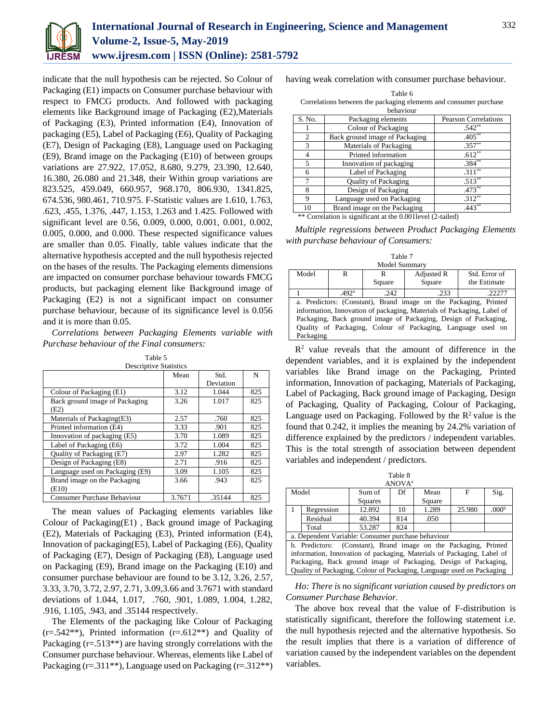

indicate that the null hypothesis can be rejected. So Colour of Packaging (E1) impacts on Consumer purchase behaviour with respect to FMCG products. And followed with packaging elements like Background image of Packaging (E2),Materials of Packaging (E3), Printed information (E4), Innovation of packaging (E5), Label of Packaging (E6), Quality of Packaging (E7), Design of Packaging (E8), Language used on Packaging (E9), Brand image on the Packaging (E10) of between groups variations are 27.922, 17.052, 8.680, 9.279, 23.390, 12.640, 16.380, 26.080 and 21.348, their Within group variations are 823.525, 459.049, 660.957, 968.170, 806.930, 1341.825, 674.536, 980.461, 710.975. F-Statistic values are 1.610, 1.763, .623, .455, 1.376, .447, 1.153, 1.263 and 1.425. Followed with significant level are 0.56, 0.009, 0.000, 0.001, 0.001, 0.002, 0.005, 0.000, and 0.000. These respected significance values are smaller than 0.05. Finally, table values indicate that the alternative hypothesis accepted and the null hypothesis rejected on the bases of the results. The Packaging elements dimensions are impacted on consumer purchase behaviour towards FMCG products, but packaging element like Background image of Packaging (E2) is not a significant impact on consumer purchase behaviour, because of its significance level is 0.056 and it is more than 0.05.

*Correlations between Packaging Elements variable with Purchase behaviour of the Final consumers:*

| Table 5 |  |
|---------|--|
|         |  |

| <b>Descriptive Statistics</b><br>N<br>Std.<br>Mean |        |           |     |  |  |
|----------------------------------------------------|--------|-----------|-----|--|--|
|                                                    |        | Deviation |     |  |  |
| Colour of Packaging (E1)                           | 3.12   | 1.044     | 825 |  |  |
| Back ground image of Packaging                     | 3.26   | 1.017     | 825 |  |  |
| (E2)                                               |        |           |     |  |  |
| Materials of Packaging(E3)                         | 2.57   | .760      | 825 |  |  |
| Printed information (E4)                           | 3.33   | .901      | 825 |  |  |
| Innovation of packaging (E5)                       | 3.70   | 1.089     | 825 |  |  |
| Label of Packaging (E6)                            | 3.72   | 1.004     | 825 |  |  |
| Quality of Packaging (E7)                          | 2.97   | 1.282     | 825 |  |  |
| Design of Packaging (E8)                           | 2.71   | .916      | 825 |  |  |
| Language used on Packaging (E9)                    | 3.09   | 1.105     | 825 |  |  |
| Brand image on the Packaging                       | 3.66   | .943      | 825 |  |  |
| (E10)                                              |        |           |     |  |  |
| <b>Consumer Purchase Behaviour</b>                 | 3.7671 | .35144    | 825 |  |  |

The mean values of Packaging elements variables like Colour of Packaging(E1) , Back ground image of Packaging (E2), Materials of Packaging (E3), Printed information (E4), Innovation of packaging(E5), Label of Packaging (E6), Quality of Packaging (E7), Design of Packaging (E8), Language used on Packaging (E9), Brand image on the Packaging (E10) and consumer purchase behaviour are found to be 3.12, 3.26, 2.57, 3.33, 3.70, 3.72, 2.97, 2.71, 3.09,3.66 and 3.7671 with standard deviations of 1.044, 1.017, .760, .901, 1.089, 1.004, 1.282, .916, 1.105, .943, and .35144 respectively.

The Elements of the packaging like Colour of Packaging  $(r=.542**)$ , Printed information  $(r=.612**)$  and Quality of Packaging  $(r=.513**)$  are having strongly correlations with the Consumer purchase behaviour. Whereas, elements like Label of Packaging (r=.311<sup>\*\*</sup>), Language used on Packaging (r=.312<sup>\*\*</sup>) having weak correlation with consumer purchase behaviour.

| Table 6                                                           |                             |  |  |  |  |  |
|-------------------------------------------------------------------|-----------------------------|--|--|--|--|--|
| Correlations between the packaging elements and consumer purchase |                             |  |  |  |  |  |
| behaviour                                                         |                             |  |  |  |  |  |
| Packaging elements                                                | <b>Pearson Correlations</b> |  |  |  |  |  |
| Colour of Packaging                                               | $.542**$                    |  |  |  |  |  |
| Back ground image of Packaging                                    | $.405***$                   |  |  |  |  |  |
| Materials of Packaging                                            | $.357***$                   |  |  |  |  |  |
| Printed information                                               | $.612**$                    |  |  |  |  |  |
| Innovation of packaging                                           | $.384***$                   |  |  |  |  |  |
| Label of Packaging                                                | $.311***$                   |  |  |  |  |  |
| Quality of Packaging                                              | $.513**$                    |  |  |  |  |  |
| Design of Packaging                                               | $.473**$                    |  |  |  |  |  |
| Language used on Packaging                                        | $.312**$                    |  |  |  |  |  |
| Brand image on the Packaging                                      | $.443***$                   |  |  |  |  |  |
|                                                                   |                             |  |  |  |  |  |

\*\* Correlation is significant at the 0.001level (2-tailed)

*Multiple regressions between Product Packaging Elements with purchase behaviour of Consumers:*

| Table 7                                                         |                                                                        |               |                                                                  |              |  |  |  |
|-----------------------------------------------------------------|------------------------------------------------------------------------|---------------|------------------------------------------------------------------|--------------|--|--|--|
|                                                                 |                                                                        | Model Summary |                                                                  |              |  |  |  |
| Model                                                           | Adjusted R<br>Std. Error of<br>R<br>R                                  |               |                                                                  |              |  |  |  |
|                                                                 |                                                                        | Square        | Square                                                           | the Estimate |  |  |  |
|                                                                 | 492 <sup>a</sup>                                                       | .242          | .233                                                             | .22277       |  |  |  |
|                                                                 |                                                                        |               | a. Predictors: (Constant), Brand image on the Packaging, Printed |              |  |  |  |
|                                                                 | information, Innovation of packaging, Materials of Packaging, Label of |               |                                                                  |              |  |  |  |
| Packaging, Back ground image of Packaging, Design of Packaging, |                                                                        |               |                                                                  |              |  |  |  |
| Quality of Packaging, Colour of Packaging, Language used on     |                                                                        |               |                                                                  |              |  |  |  |
| Packaging                                                       |                                                                        |               |                                                                  |              |  |  |  |

 $R<sup>2</sup>$  value reveals that the amount of difference in the dependent variables, and it is explained by the independent variables like Brand image on the Packaging, Printed information, Innovation of packaging, Materials of Packaging, Label of Packaging, Back ground image of Packaging, Design of Packaging, Quality of Packaging, Colour of Packaging, Language used on Packaging. Followed by the  $R^2$  value is the found that 0.242, it implies the meaning by 24.2% variation of difference explained by the predictors / independent variables. This is the total strength of association between dependent variables and independent / predictors.

|                                                                        | Table 8                                                               |         |                           |        |        |                   |  |
|------------------------------------------------------------------------|-----------------------------------------------------------------------|---------|---------------------------|--------|--------|-------------------|--|
|                                                                        |                                                                       |         | <b>ANOVA</b> <sup>a</sup> |        |        |                   |  |
| Model                                                                  |                                                                       | Sum of  | Df                        | Mean   | F      | Sig.              |  |
|                                                                        |                                                                       | Squares |                           | Square |        |                   |  |
|                                                                        | Regression                                                            | 12.892  | 10                        | 1.289  | 25.980 | .000 <sup>b</sup> |  |
|                                                                        | Residual                                                              | 40.394  | 814                       | .050   |        |                   |  |
|                                                                        | Total                                                                 | 53.287  | 824                       |        |        |                   |  |
|                                                                        | a. Dependent Variable: Consumer purchase behaviour                    |         |                           |        |        |                   |  |
|                                                                        | b. Predictors: (Constant), Brand image on the Packaging, Printed      |         |                           |        |        |                   |  |
| information, Innovation of packaging, Materials of Packaging, Label of |                                                                       |         |                           |        |        |                   |  |
|                                                                        | Packaging, Back ground image of Packaging, Design of Packaging,       |         |                           |        |        |                   |  |
|                                                                        | Quality of Packaging, Colour of Packaging, Language used on Packaging |         |                           |        |        |                   |  |

*Ho: There is no significant variation caused by predictors on Consumer Purchase Behavior.*

The above box reveal that the value of F-distribution is statistically significant, therefore the following statement i.e. the null hypothesis rejected and the alternative hypothesis. So the result implies that there is a variation of difference of variation caused by the independent variables on the dependent variables.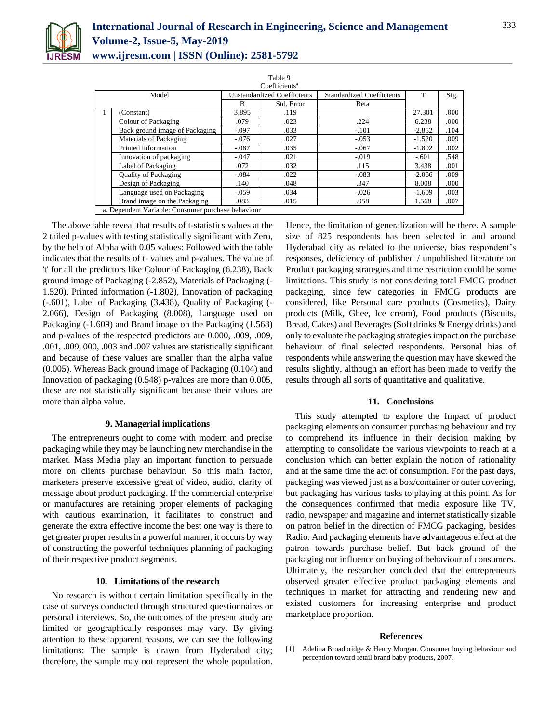

| Table 9                                            |                                    |            |                                  |          |      |  |  |
|----------------------------------------------------|------------------------------------|------------|----------------------------------|----------|------|--|--|
| Coefficients <sup>a</sup>                          |                                    |            |                                  |          |      |  |  |
| Model                                              | <b>Unstandardized Coefficients</b> |            | <b>Standardized Coefficients</b> | T        | Sig. |  |  |
|                                                    | B                                  | Std. Error | Beta                             |          |      |  |  |
| (Constant)                                         | 3.895                              | .119       |                                  | 27.301   | .000 |  |  |
| Colour of Packaging                                | .079                               | .023       | .224                             | 6.238    | .000 |  |  |
| Back ground image of Packaging                     | $-.097$                            | .033       | $-.101$                          | $-2.852$ | .104 |  |  |
| Materials of Packaging                             | $-.076$                            | .027       | $-.053$                          | $-1.520$ | .009 |  |  |
| Printed information                                | $-.087$                            | .035       | $-.067$                          | $-1.802$ | .002 |  |  |
| Innovation of packaging                            | $-.047$                            | .021       | $-0.019$                         | $-.601$  | .548 |  |  |
| Label of Packaging                                 | .072                               | .032       | .115                             | 3.438    | .001 |  |  |
| <b>Ouality of Packaging</b>                        | $-.084$                            | .022       | $-.083$                          | $-2.066$ | .009 |  |  |
| Design of Packaging                                | .140                               | .048       | .347                             | 8.008    | .000 |  |  |
| Language used on Packaging                         | $-.059$                            | .034       | $-.026$                          | $-1.609$ | .003 |  |  |
| Brand image on the Packaging                       | .083                               | .015       | .058                             | 1.568    | .007 |  |  |
| a. Dependent Variable: Consumer purchase behaviour |                                    |            |                                  |          |      |  |  |

The above table reveal that results of t-statistics values at the 2 tailed p-values with testing statistically significant with Zero, by the help of Alpha with 0.05 values: Followed with the table indicates that the results of t- values and p-values. The value of 't' for all the predictors like Colour of Packaging (6.238), Back ground image of Packaging (-2.852), Materials of Packaging (- 1.520), Printed information (-1.802), Innovation of packaging (-.601), Label of Packaging (3.438), Quality of Packaging (- 2.066), Design of Packaging (8.008), Language used on Packaging (-1.609) and Brand image on the Packaging (1.568) and p-values of the respected predictors are 0.000, .009, .009, .001, .009, 000, .003 and .007 values are statistically significant and because of these values are smaller than the alpha value (0.005). Whereas Back ground image of Packaging (0.104) and Innovation of packaging (0.548) p-values are more than 0.005, these are not statistically significant because their values are more than alpha value.

## **9. Managerial implications**

The entrepreneurs ought to come with modern and precise packaging while they may be launching new merchandise in the market. Mass Media play an important function to persuade more on clients purchase behaviour. So this main factor, marketers preserve excessive great of video, audio, clarity of message about product packaging. If the commercial enterprise or manufactures are retaining proper elements of packaging with cautious examination, it facilitates to construct and generate the extra effective income the best one way is there to get greater proper results in a powerful manner, it occurs by way of constructing the powerful techniques planning of packaging of their respective product segments.

# **10. Limitations of the research**

No research is without certain limitation specifically in the case of surveys conducted through structured questionnaires or personal interviews. So, the outcomes of the present study are limited or geographically responses may vary. By giving attention to these apparent reasons, we can see the following limitations: The sample is drawn from Hyderabad city; therefore, the sample may not represent the whole population.

Hence, the limitation of generalization will be there. A sample size of 825 respondents has been selected in and around Hyderabad city as related to the universe, bias respondent's responses, deficiency of published / unpublished literature on Product packaging strategies and time restriction could be some limitations. This study is not considering total FMCG product packaging, since few categories in FMCG products are considered, like Personal care products (Cosmetics), Dairy products (Milk, Ghee, Ice cream), Food products (Biscuits, Bread, Cakes) and Beverages (Soft drinks & Energy drinks) and only to evaluate the packaging strategies impact on the purchase behaviour of final selected respondents. Personal bias of respondents while answering the question may have skewed the results slightly, although an effort has been made to verify the results through all sorts of quantitative and qualitative.

#### **11. Conclusions**

This study attempted to explore the Impact of product packaging elements on consumer purchasing behaviour and try to comprehend its influence in their decision making by attempting to consolidate the various viewpoints to reach at a conclusion which can better explain the notion of rationality and at the same time the act of consumption. For the past days, packaging was viewed just as a box/container or outer covering, but packaging has various tasks to playing at this point. As for the consequences confirmed that media exposure like TV, radio, newspaper and magazine and internet statistically sizable on patron belief in the direction of FMCG packaging, besides Radio. And packaging elements have advantageous effect at the patron towards purchase belief. But back ground of the packaging not influence on buying of behaviour of consumers. Ultimately, the researcher concluded that the entrepreneurs observed greater effective product packaging elements and techniques in market for attracting and rendering new and existed customers for increasing enterprise and product marketplace proportion.

## **References**

[1] Adelina Broadbridge & Henry Morgan. Consumer buying behaviour and perception toward retail brand baby products, 2007.